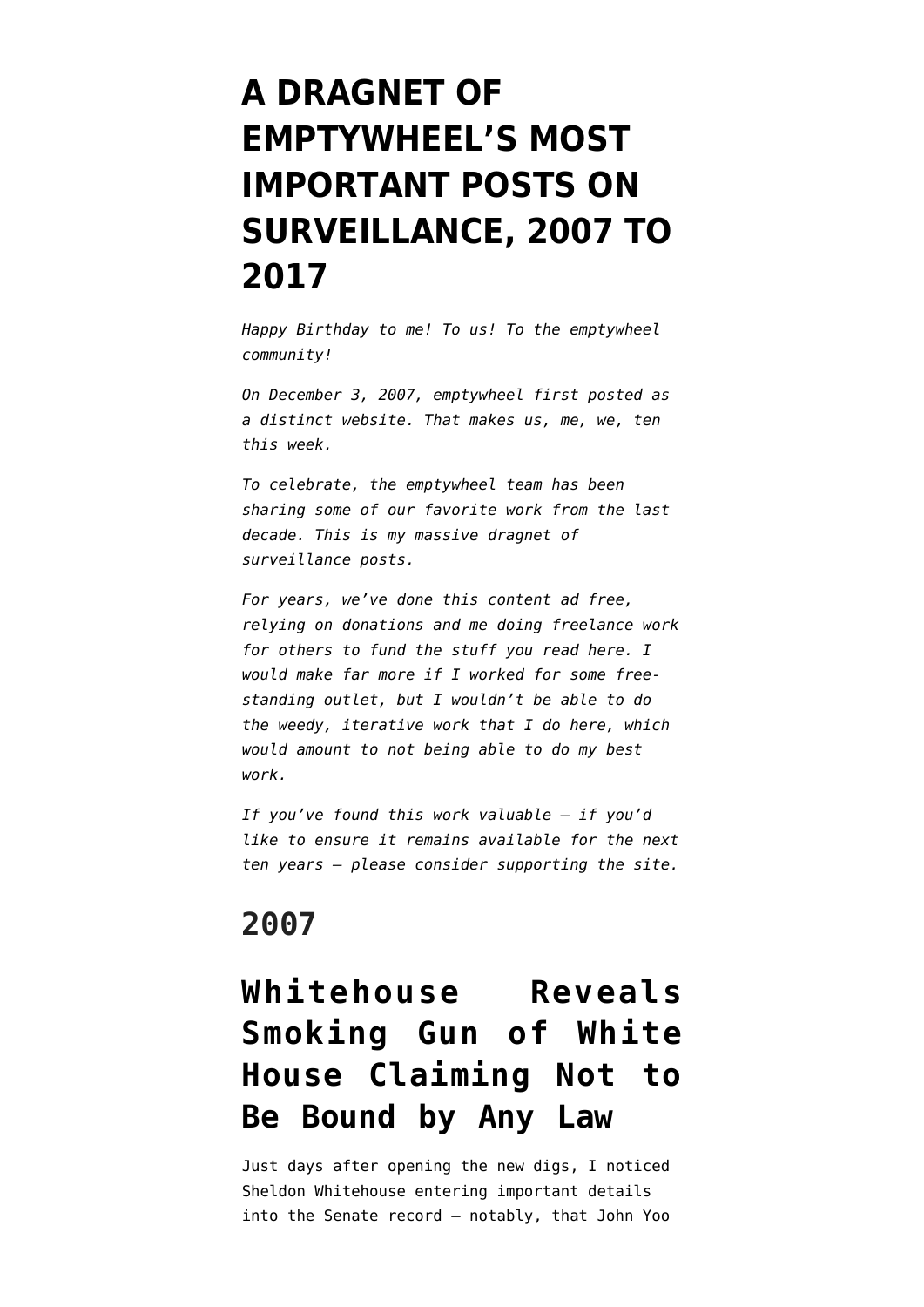# **[A DRAGNET OF](https://www.emptywheel.net/2017/12/05/a-dragnet-of-emptywheels-most-important-posts-on-surveillance-2007-to-2017/) [EMPTYWHEEL'S MOST](https://www.emptywheel.net/2017/12/05/a-dragnet-of-emptywheels-most-important-posts-on-surveillance-2007-to-2017/) [IMPORTANT POSTS ON](https://www.emptywheel.net/2017/12/05/a-dragnet-of-emptywheels-most-important-posts-on-surveillance-2007-to-2017/) [SURVEILLANCE, 2007 TO](https://www.emptywheel.net/2017/12/05/a-dragnet-of-emptywheels-most-important-posts-on-surveillance-2007-to-2017/) [2017](https://www.emptywheel.net/2017/12/05/a-dragnet-of-emptywheels-most-important-posts-on-surveillance-2007-to-2017/)**

*Happy Birthday to me! To us! To the emptywheel community!*

*On December 3, 2007, emptywheel first posted as a distinct website. That makes us, me, we, ten this week.*

*To celebrate, the emptywheel team has been sharing some of our favorite work from the last decade. This is my massive dragnet of surveillance posts.*

*For years, we've done this content ad free, relying on donations and me doing freelance work for others to fund the stuff you read here. I would make far more if I worked for some freestanding outlet, but I wouldn't be able to do the weedy, iterative work that I do here, which would amount to not being able to do my best work.*

*If you've found this work valuable — if you'd like to ensure it remains available for the next ten years — please consider [supporting the site.](https://www.emptywheel.net/support/)*

#### **2007**

#### **[Whitehouse Reveals](https://www.emptywheel.net/2007/12/07/whitehouse-rips-the-white-house/) [Smoking Gun of White](https://www.emptywheel.net/2007/12/07/whitehouse-rips-the-white-house/) [House Claiming Not to](https://www.emptywheel.net/2007/12/07/whitehouse-rips-the-white-house/) [Be Bound by Any Law](https://www.emptywheel.net/2007/12/07/whitehouse-rips-the-white-house/)**

Just days after opening the new digs, I noticed Sheldon Whitehouse entering important details into the Senate record — notably, that John Yoo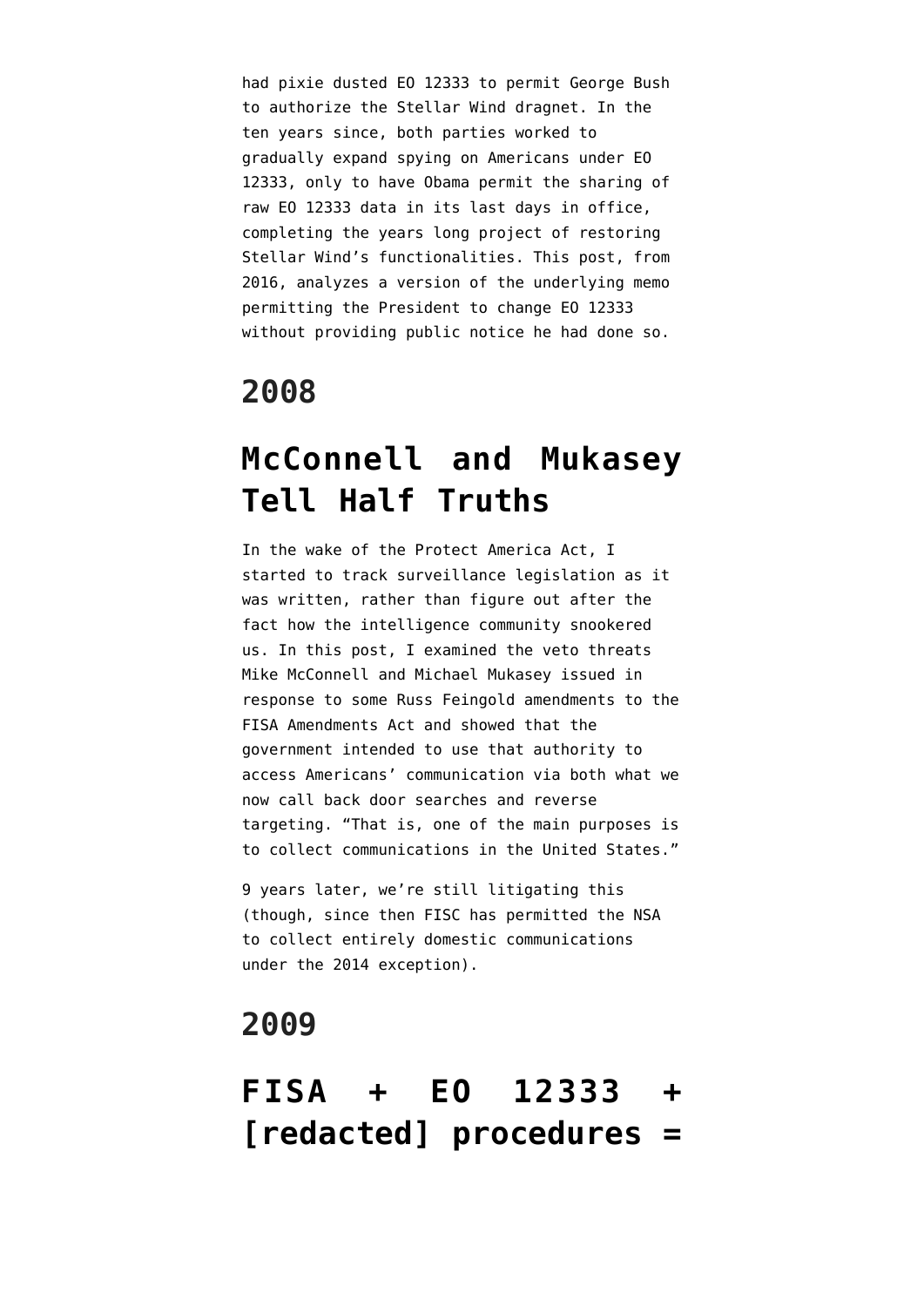had pixie dusted EO 12333 to permit George Bush to authorize the Stellar Wind dragnet. In the ten years since, both parties worked to gradually expand spying on Americans under EO 12333, only to have Obama permit the sharing of raw EO 12333 data in its last days in office, completing the years long project of restoring Stellar Wind's functionalities. [This post,](https://www.emptywheel.net/2016/02/29/that-time-when-john-yoo-deemed-eo-12333-optional-working-thread/) from 2016, analyzes a version of the underlying memo permitting the President to change EO 12333 without providing public notice he had done so.

#### **2008**

#### **[McConnell and Mukasey](https://www.emptywheel.net/2008/02/06/mcconnell-and-mukasey-tell-half-truths/) [Tell Half Truths](https://www.emptywheel.net/2008/02/06/mcconnell-and-mukasey-tell-half-truths/)**

In the wake of the Protect America Act, I started to track surveillance legislation as it was written, rather than figure out after the fact how the intelligence community snookered us. In this post, I examined the veto threats Mike McConnell and Michael Mukasey issued in response to some Russ Feingold amendments to the FISA Amendments Act and showed that the government intended to use that authority to access Americans' communication via both what we now call back door searches and reverse targeting. "That is, one of the main purposes is to collect communications in the United States."

9 years later, we're still litigating this (though, since then FISC has permitted the NSA to collect entirely domestic communications under the 2014 exception).

#### **2009**

#### **[FISA + EO 12333 +](https://www.emptywheel.net/2009/01/18/fisa-eo-12333-redacted-procedures-no-fourth-amendment/) [\[redacted\] procedures =](https://www.emptywheel.net/2009/01/18/fisa-eo-12333-redacted-procedures-no-fourth-amendment/)**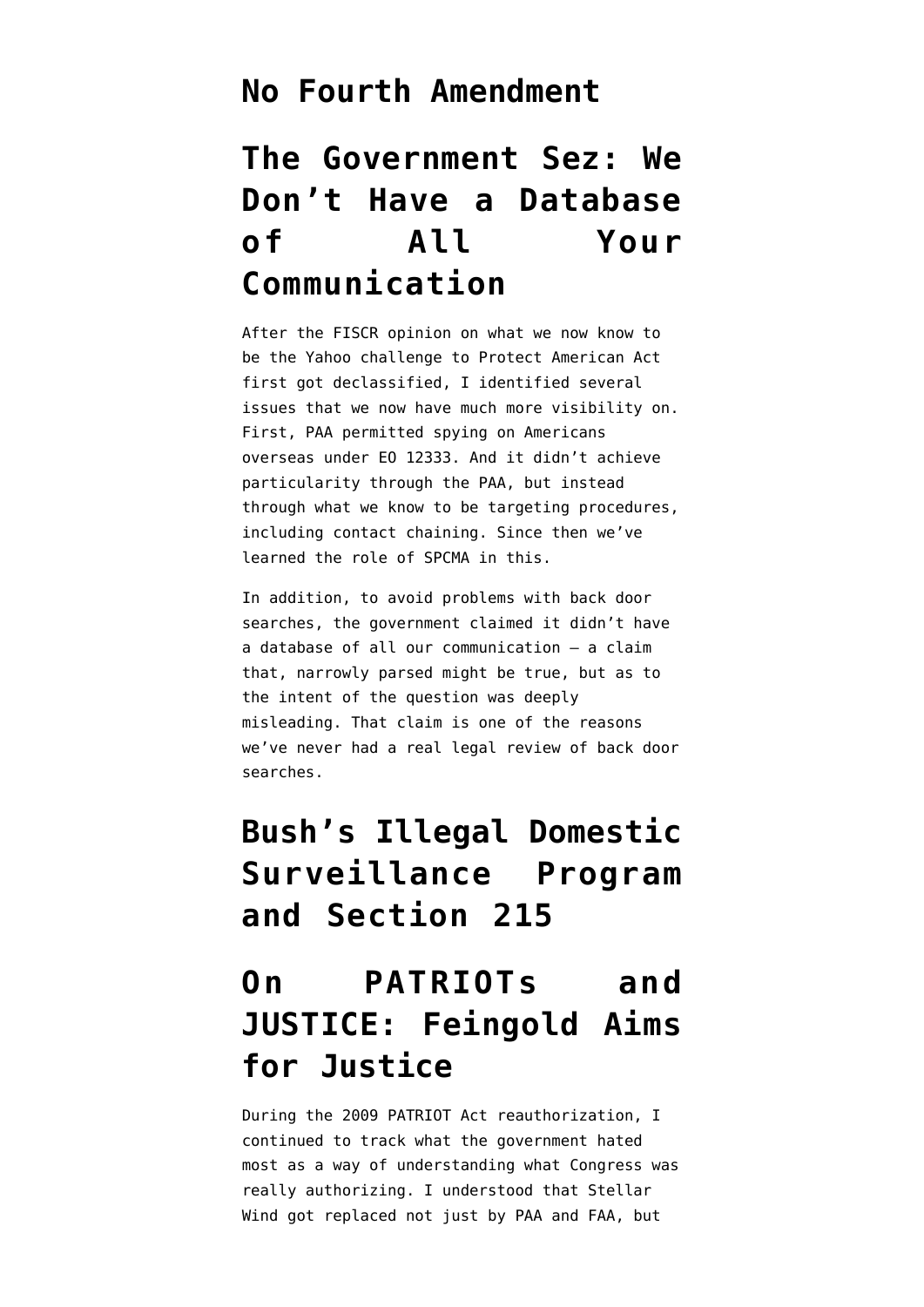#### **[No Fourth Amendment](https://www.emptywheel.net/2009/01/18/fisa-eo-12333-redacted-procedures-no-fourth-amendment/)**

#### **[The Government Sez: We](https://www.emptywheel.net/2009/01/17/the-government-sez-we-dont-have-a-database-of-all-your-communication/) [Don't Have a Database](https://www.emptywheel.net/2009/01/17/the-government-sez-we-dont-have-a-database-of-all-your-communication/) [of All Your](https://www.emptywheel.net/2009/01/17/the-government-sez-we-dont-have-a-database-of-all-your-communication/) [Communication](https://www.emptywheel.net/2009/01/17/the-government-sez-we-dont-have-a-database-of-all-your-communication/)**

After the FISCR opinion on what we now know to be the Yahoo challenge to Protect American Act first got declassified, I identified several issues that we now have much more visibility on. First, PAA permitted spying on Americans overseas under EO 12333. And it didn't achieve particularity through the PAA, but instead through what we know to be targeting procedures, including contact chaining. Since then we've learned the role of SPCMA in this.

In addition, to avoid problems with back door searches, the government claimed it didn't have a database of all our communication — a claim that, narrowly parsed might be true, but as to the intent of the question was deeply misleading. That claim is one of the reasons we've never had a real legal review of back door searches.

#### **[Bush's Illegal Domestic](https://www.emptywheel.net/2009/10/07/bushs-illlegal-domestic-surveillance-program-and-section-215/) [Surveillance Program](https://www.emptywheel.net/2009/10/07/bushs-illlegal-domestic-surveillance-program-and-section-215/) [and Section 215](https://www.emptywheel.net/2009/10/07/bushs-illlegal-domestic-surveillance-program-and-section-215/)**

#### **[On PATRIOTs and](https://www.emptywheel.net/2009/09/30/on-patriots-and-justice-feingold-aims-for-justice/) [JUSTICE: Feingold Aims](https://www.emptywheel.net/2009/09/30/on-patriots-and-justice-feingold-aims-for-justice/) [for Justice](https://www.emptywheel.net/2009/09/30/on-patriots-and-justice-feingold-aims-for-justice/)**

During the 2009 PATRIOT Act reauthorization, I continued to track what the government hated most as a way of understanding what Congress was really authorizing. I understood that Stellar Wind got replaced not just by PAA and FAA, but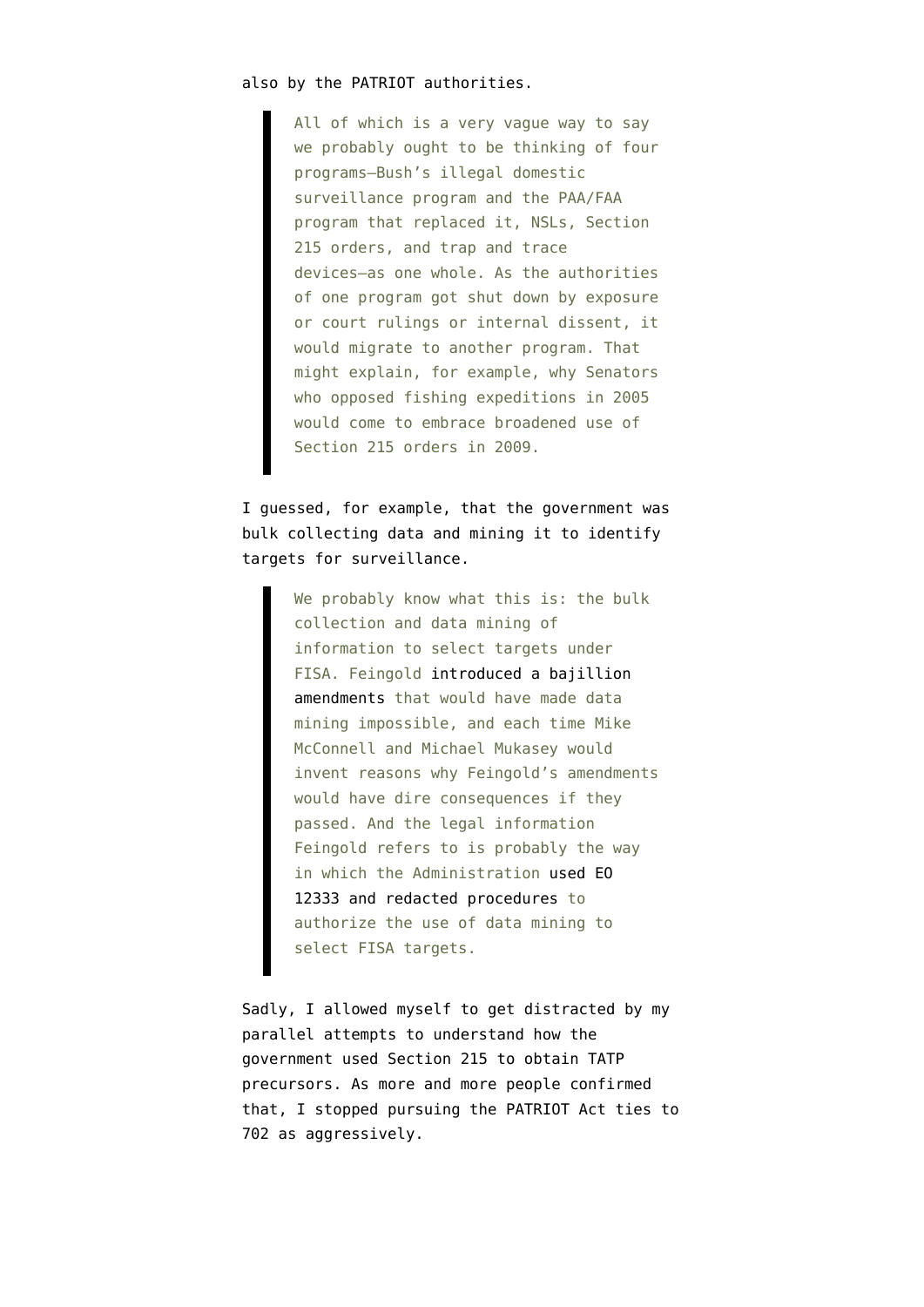#### also by the PATRIOT authorities.

All of which is a very vague way to say we probably ought to be thinking of four programs–Bush's illegal domestic surveillance program and the PAA/FAA program that replaced it, NSLs, Section 215 orders, and trap and trace devices–as one whole. As the authorities of one program got shut down by exposure or court rulings or internal dissent, it would migrate to another program. That might explain, for example, why Senators who opposed fishing expeditions in 2005 would come to embrace broadened use of Section 215 orders in 2009.

I guessed, for example, that the government was bulk collecting data and mining it to identify targets for surveillance.

> We probably know what this is: the bulk collection and data mining of information to select targets under FISA. Feingold [introduced a bajillion](http://emptywheel.firedoglake.com/2008/02/06/mcconnell-and-mukasey-tell-half-truths/) [amendments](http://emptywheel.firedoglake.com/2008/02/06/mcconnell-and-mukasey-tell-half-truths/) that would have made data mining impossible, and each time Mike McConnell and Michael Mukasey would invent reasons why Feingold's amendments would have dire consequences if they passed. And the legal information Feingold refers to is probably the way in which the Administration [used EO](http://emptywheel.firedoglake.com/2009/01/18/fisa-eo-12333-redacted-procedures-no-fourth-amendment/) [12333 and redacted procedures](http://emptywheel.firedoglake.com/2009/01/18/fisa-eo-12333-redacted-procedures-no-fourth-amendment/) to authorize the use of data mining to select FISA targets.

Sadly, I allowed myself to get distracted by my parallel attempts to understand how the government used Section 215 to obtain TATP precursors. As [more](https://www.emptywheel.net/2009/10/08/yes-they-are-tracking-hydrogen-peroxide-and-acetone/) and [more](https://www.emptywheel.net/2011/02/17/confirmed-our-government-has-criminalized-beauty-products/) people confirmed that, I stopped pursuing the PATRIOT Act ties to 702 as aggressively.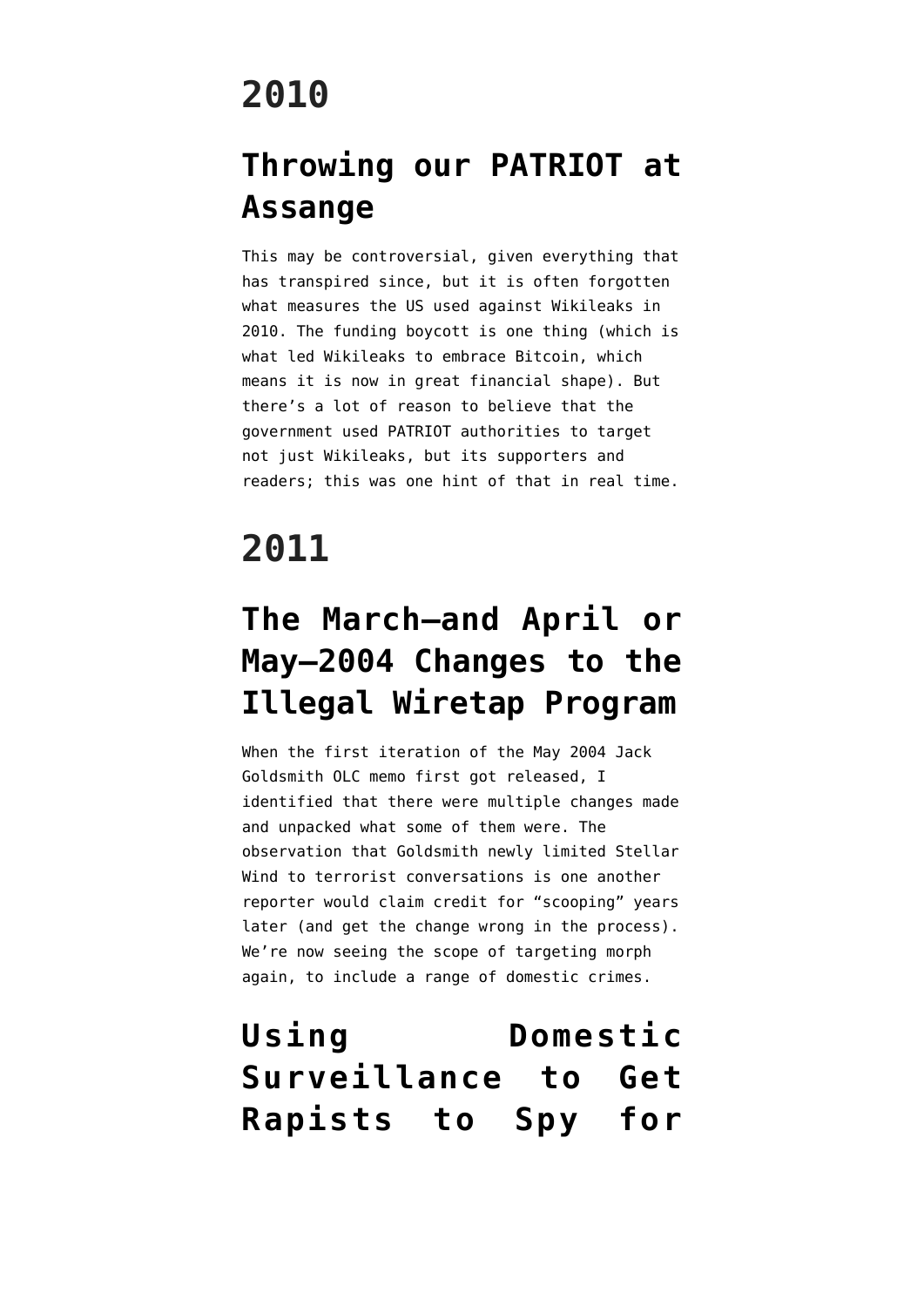## **2010**

#### **[Throwing our PATRIOT at](https://www.emptywheel.net/2010/12/13/throwing-our-patriot-at-assange/) [Assange](https://www.emptywheel.net/2010/12/13/throwing-our-patriot-at-assange/)**

This may be controversial, given everything that has transpired since, but it is often forgotten what measures the US used against Wikileaks in 2010. The funding boycott is one thing (which is what led Wikileaks to embrace Bitcoin, which means it is now in great financial shape). But there's a lot of reason to believe that the government used PATRIOT authorities to target not just Wikileaks, but its supporters and readers; this was one hint of that in real time.

## **2011**

#### **[The March–and April or](https://www.emptywheel.net/2011/03/21/the-march-and-april-or-may-2004-changes-to-the-illegal-wiretap-program/) [May–2004 Changes to the](https://www.emptywheel.net/2011/03/21/the-march-and-april-or-may-2004-changes-to-the-illegal-wiretap-program/) [Illegal Wiretap Program](https://www.emptywheel.net/2011/03/21/the-march-and-april-or-may-2004-changes-to-the-illegal-wiretap-program/)**

When the first iteration of the May 2004 Jack Goldsmith OLC memo first got released, I identified that there were multiple changes made and unpacked what some of them were. The observation that Goldsmith newly limited Stellar Wind to terrorist conversations is one another reporter would claim credit for "scooping" years later (and get the change wrong in the process). We're now seeing the scope of targeting morph again, to include a range of domestic crimes.

#### **[Using Domestic](https://www.emptywheel.net/2011/06/07/using-domestic-surveillance-to-get-rapists-to-spy-for-america/) [Surveillance to Get](https://www.emptywheel.net/2011/06/07/using-domestic-surveillance-to-get-rapists-to-spy-for-america/) [Rapists to Spy for](https://www.emptywheel.net/2011/06/07/using-domestic-surveillance-to-get-rapists-to-spy-for-america/)**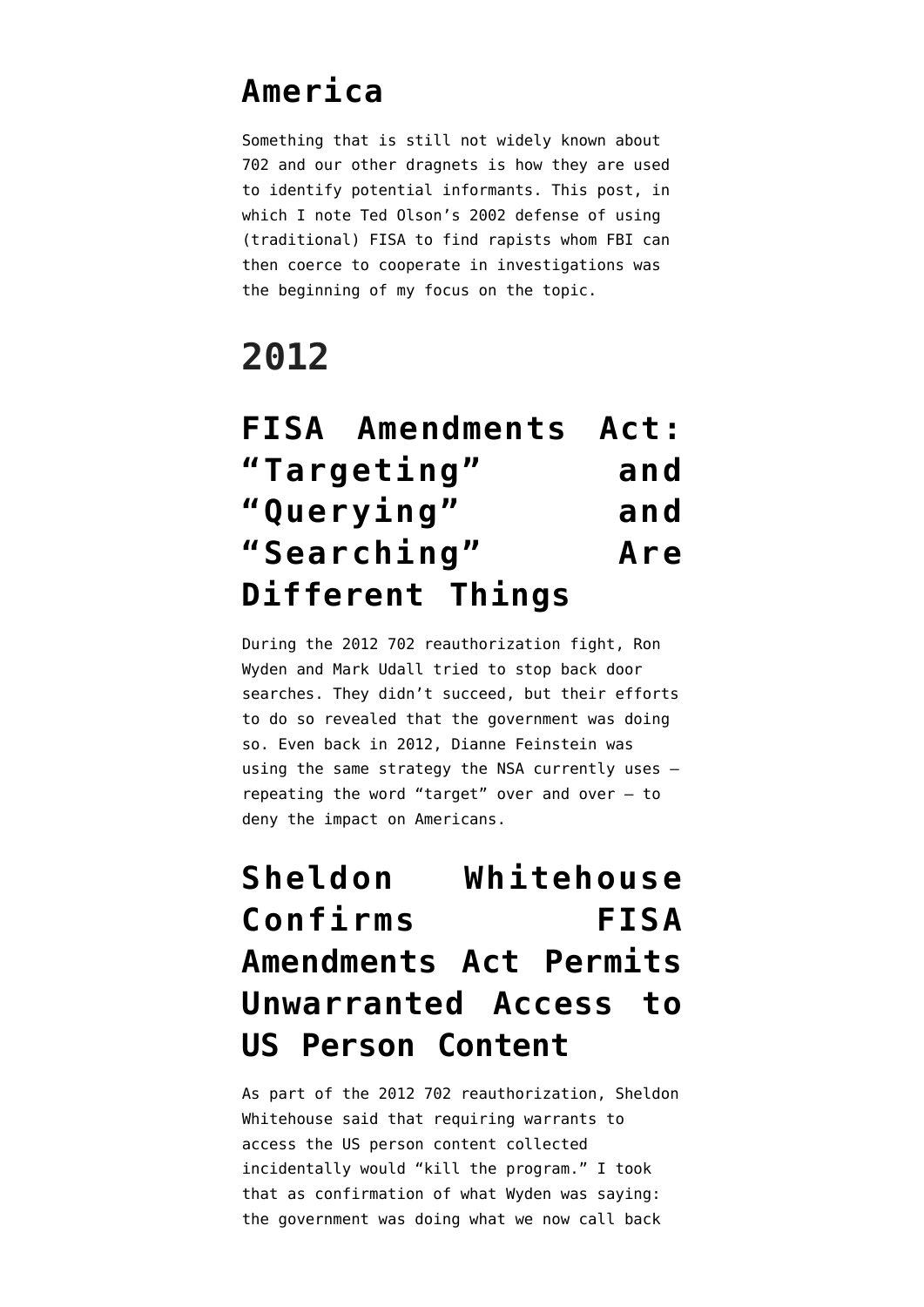#### **[America](https://www.emptywheel.net/2011/06/07/using-domestic-surveillance-to-get-rapists-to-spy-for-america/)**

Something that is still not widely known about 702 and our other dragnets is how they are used to identify potential informants. This post, in which I note Ted Olson's 2002 defense of using (traditional) FISA to find rapists whom FBI can then coerce to cooperate in investigations was the beginning of my focus on the topic.

## **2012**

|             | <b>FISA Amendments Act:</b> |     |
|-------------|-----------------------------|-----|
| "Targeting" |                             | and |
| "Querying"  |                             | and |
| "Searching" |                             | Are |
|             | Different Things            |     |

During the 2012 702 reauthorization fight, Ron Wyden and Mark Udall tried to stop back door searches. They didn't succeed, but their efforts to do so revealed that the government was doing so. Even back in 2012, Dianne Feinstein was using the same strategy the NSA currently uses repeating the word "target" over and over — to deny the impact on Americans.

**[Sheldon Whitehouse](https://www.emptywheel.net/2012/07/19/sheldon-whitehouse-confirms-fisa-amendments-act-permits-unwarranted-access-to-us-persons-content/) [Confirms FISA](https://www.emptywheel.net/2012/07/19/sheldon-whitehouse-confirms-fisa-amendments-act-permits-unwarranted-access-to-us-persons-content/) [Amendments Act Permits](https://www.emptywheel.net/2012/07/19/sheldon-whitehouse-confirms-fisa-amendments-act-permits-unwarranted-access-to-us-persons-content/) [Unwarranted Access to](https://www.emptywheel.net/2012/07/19/sheldon-whitehouse-confirms-fisa-amendments-act-permits-unwarranted-access-to-us-persons-content/) [US Person Content](https://www.emptywheel.net/2012/07/19/sheldon-whitehouse-confirms-fisa-amendments-act-permits-unwarranted-access-to-us-persons-content/)**

As part of the 2012 702 reauthorization, Sheldon Whitehouse said that requiring warrants to access the US person content collected incidentally would "kill the program." I took that as confirmation of what Wyden was saying: the government was doing what we now call back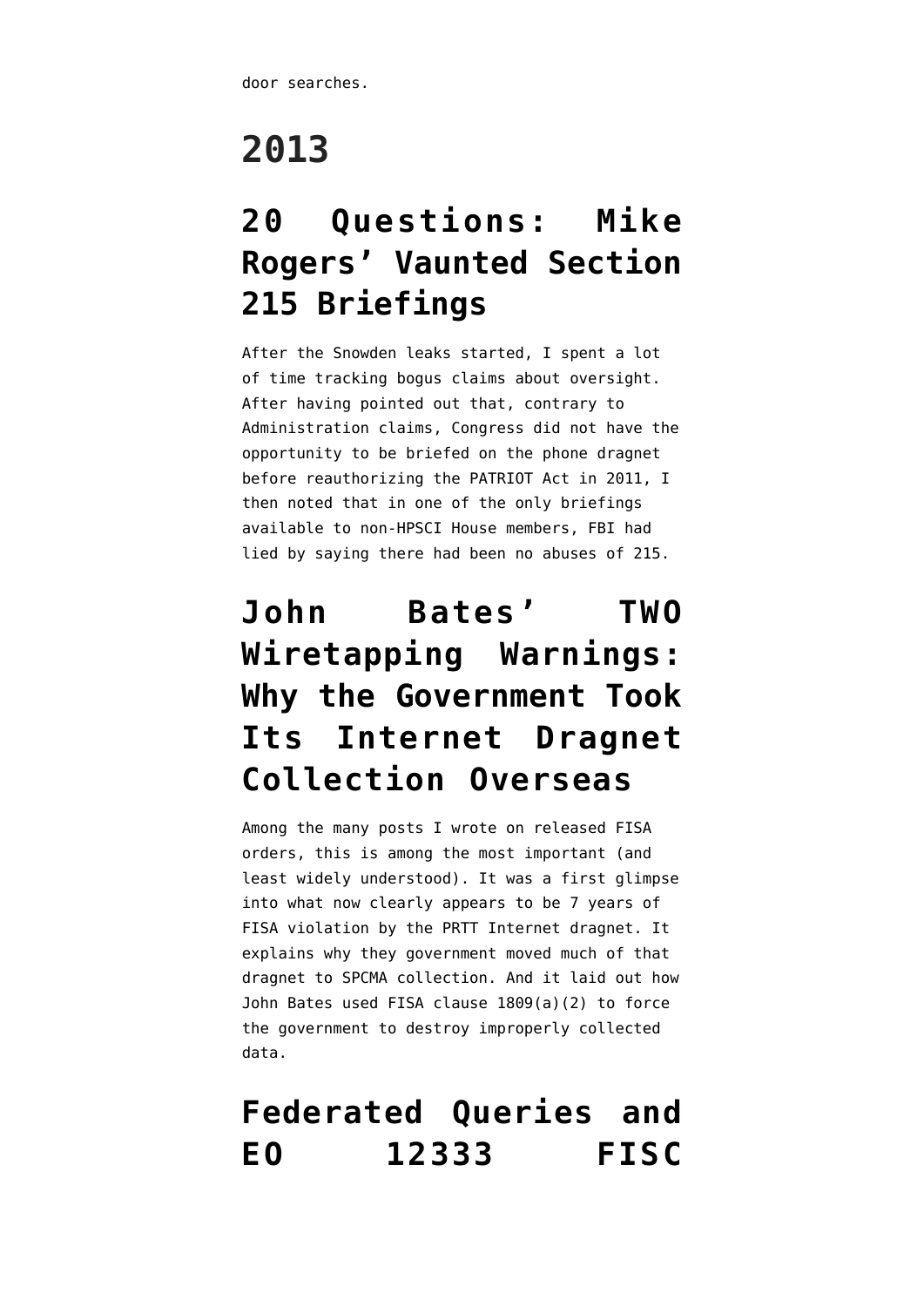door searches.

# **2013**

## **[20 Questions: Mike](https://www.emptywheel.net/2013/08/19/20-questions-mike-rogers-vaunted-section-215-briefings/) [Rogers' Vaunted Section](https://www.emptywheel.net/2013/08/19/20-questions-mike-rogers-vaunted-section-215-briefings/) [215 Briefings](https://www.emptywheel.net/2013/08/19/20-questions-mike-rogers-vaunted-section-215-briefings/)**

After the Snowden leaks started, I spent a lot of time tracking bogus claims about oversight. After having pointed out that, contrary to Administration claims, Congress did not have the opportunity to be briefed on the phone dragnet before reauthorizing the PATRIOT Act in 2011, I then noted that in one of the only briefings available to non-HPSCI House members, FBI had lied by saying there had been no abuses of 215.

## **[John Bates' TWO](https://www.emptywheel.net/2013/11/20/john-bates-two-wiretapping-warnings-why-the-government-took-its-internet-dragnet-collection-overseas/) [Wiretapping Warnings:](https://www.emptywheel.net/2013/11/20/john-bates-two-wiretapping-warnings-why-the-government-took-its-internet-dragnet-collection-overseas/) [Why the Government Took](https://www.emptywheel.net/2013/11/20/john-bates-two-wiretapping-warnings-why-the-government-took-its-internet-dragnet-collection-overseas/) [Its Internet Dragnet](https://www.emptywheel.net/2013/11/20/john-bates-two-wiretapping-warnings-why-the-government-took-its-internet-dragnet-collection-overseas/) [Collection Overseas](https://www.emptywheel.net/2013/11/20/john-bates-two-wiretapping-warnings-why-the-government-took-its-internet-dragnet-collection-overseas/)**

Among the many posts I wrote on released FISA orders, this is among the most important (and least widely understood). It was a first glimpse into what now clearly appears to be 7 years of FISA violation by the PRTT Internet dragnet. It explains why they government moved much of that dragnet to SPCMA collection. And it laid out how John Bates used FISA clause 1809(a)(2) to force the government to destroy improperly collected data.

#### **[Federated Queries and](https://www.emptywheel.net/2013/12/03/federated-queries-and-eo-12333-fisc-workaround/) [EO 12333 FISC](https://www.emptywheel.net/2013/12/03/federated-queries-and-eo-12333-fisc-workaround/)**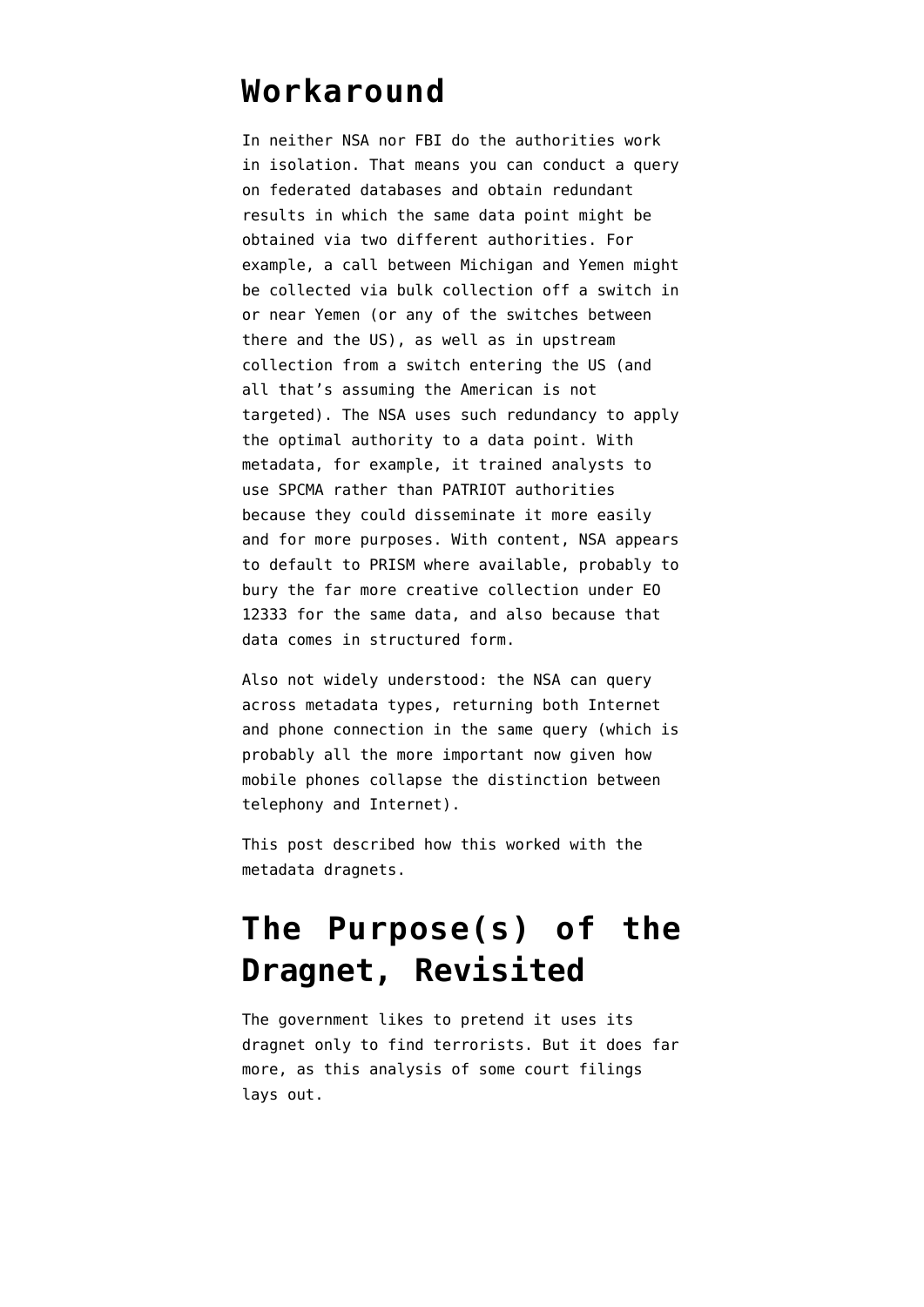#### **[Workaround](https://www.emptywheel.net/2013/12/03/federated-queries-and-eo-12333-fisc-workaround/)**

In neither NSA nor FBI do the authorities work in isolation. That means you can conduct a query on federated databases and obtain redundant results in which the same data point might be obtained via two different authorities. For example, a call between Michigan and Yemen might be collected via bulk collection off a switch in or near Yemen (or any of the switches between there and the US), as well as in upstream collection from a switch entering the US (and all that's assuming the American is not targeted). The NSA uses such redundancy to apply the optimal authority to a data point. With metadata, for example, it trained analysts to use SPCMA rather than PATRIOT authorities because they could disseminate it more easily and for more purposes. With content, NSA appears to default to PRISM where available, probably to bury the far more creative collection under EO 12333 for the same data, and also because that data comes in structured form.

Also not widely understood: the NSA can query across metadata types, returning both Internet and phone connection in the same query (which is probably all the more important now given how mobile phones collapse the distinction between telephony and Internet).

This post described how this worked with the metadata dragnets.

#### **[The Purpose\(s\) of the](https://www.emptywheel.net/2013/12/18/the-purposes-of-the-dragnet-revisited/) [Dragnet, Revisited](https://www.emptywheel.net/2013/12/18/the-purposes-of-the-dragnet-revisited/)**

The government likes to pretend it uses its dragnet only to find terrorists. But it does far more, as this analysis of some court filings lays out.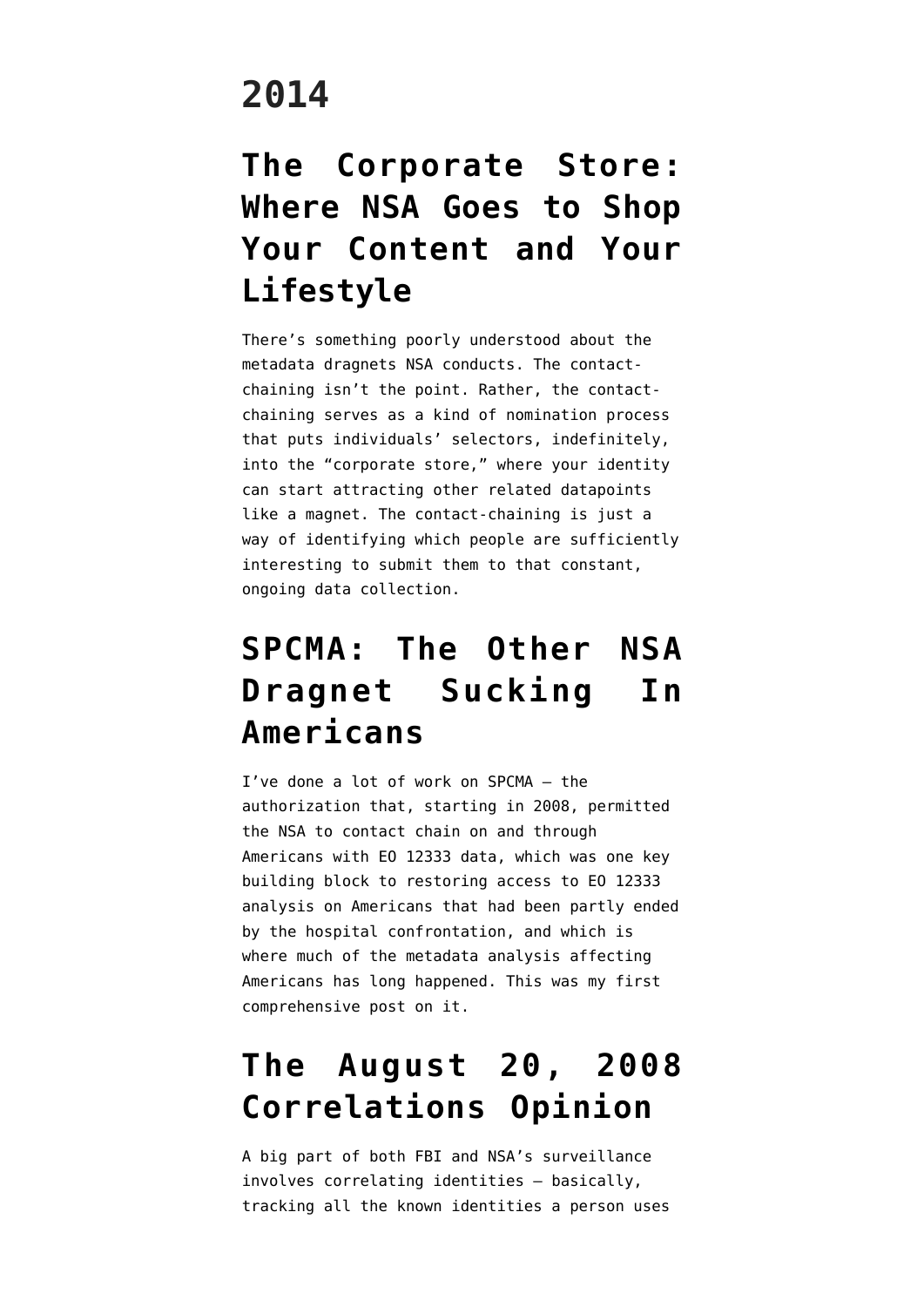#### **2014**

#### **[The Corporate Store:](https://www.emptywheel.net/2014/01/25/the-corporate-store-where-nsa-goes-to-shop-your-content-and-your-lifestyle/) [Where NSA Goes to Shop](https://www.emptywheel.net/2014/01/25/the-corporate-store-where-nsa-goes-to-shop-your-content-and-your-lifestyle/) [Your Content and Your](https://www.emptywheel.net/2014/01/25/the-corporate-store-where-nsa-goes-to-shop-your-content-and-your-lifestyle/) [Lifestyle](https://www.emptywheel.net/2014/01/25/the-corporate-store-where-nsa-goes-to-shop-your-content-and-your-lifestyle/)**

There's something poorly understood about the metadata dragnets NSA conducts. The contactchaining isn't the point. Rather, the contactchaining serves as a kind of nomination process that puts individuals' selectors, indefinitely, into the "corporate store," where your identity can start attracting other related datapoints like a magnet. The contact-chaining is just a way of identifying which people are sufficiently interesting to submit them to that constant, ongoing data collection.

## **[SPCMA: The Other NSA](https://www.emptywheel.net/2014/02/17/spcma-the-other-nsa-dragnet-sucking-in-americans/) [Dragnet Sucking In](https://www.emptywheel.net/2014/02/17/spcma-the-other-nsa-dragnet-sucking-in-americans/) [Americans](https://www.emptywheel.net/2014/02/17/spcma-the-other-nsa-dragnet-sucking-in-americans/)**

I've done a lot of work on SPCMA — the authorization that, starting in 2008, permitted the NSA to contact chain on and through Americans with EO 12333 data, which was one key building block to restoring access to EO 12333 analysis on Americans that had been partly ended by the hospital confrontation, and which is where much of the metadata analysis affecting Americans has long happened. This was my first comprehensive post on it.

#### **[The August 20, 2008](https://www.emptywheel.net/2014/04/08/the-august-20-2008-correlations-opinion/) [Correlations Opinion](https://www.emptywheel.net/2014/04/08/the-august-20-2008-correlations-opinion/)**

A big part of both FBI and NSA's surveillance involves correlating identities — basically, tracking all the known identities a person uses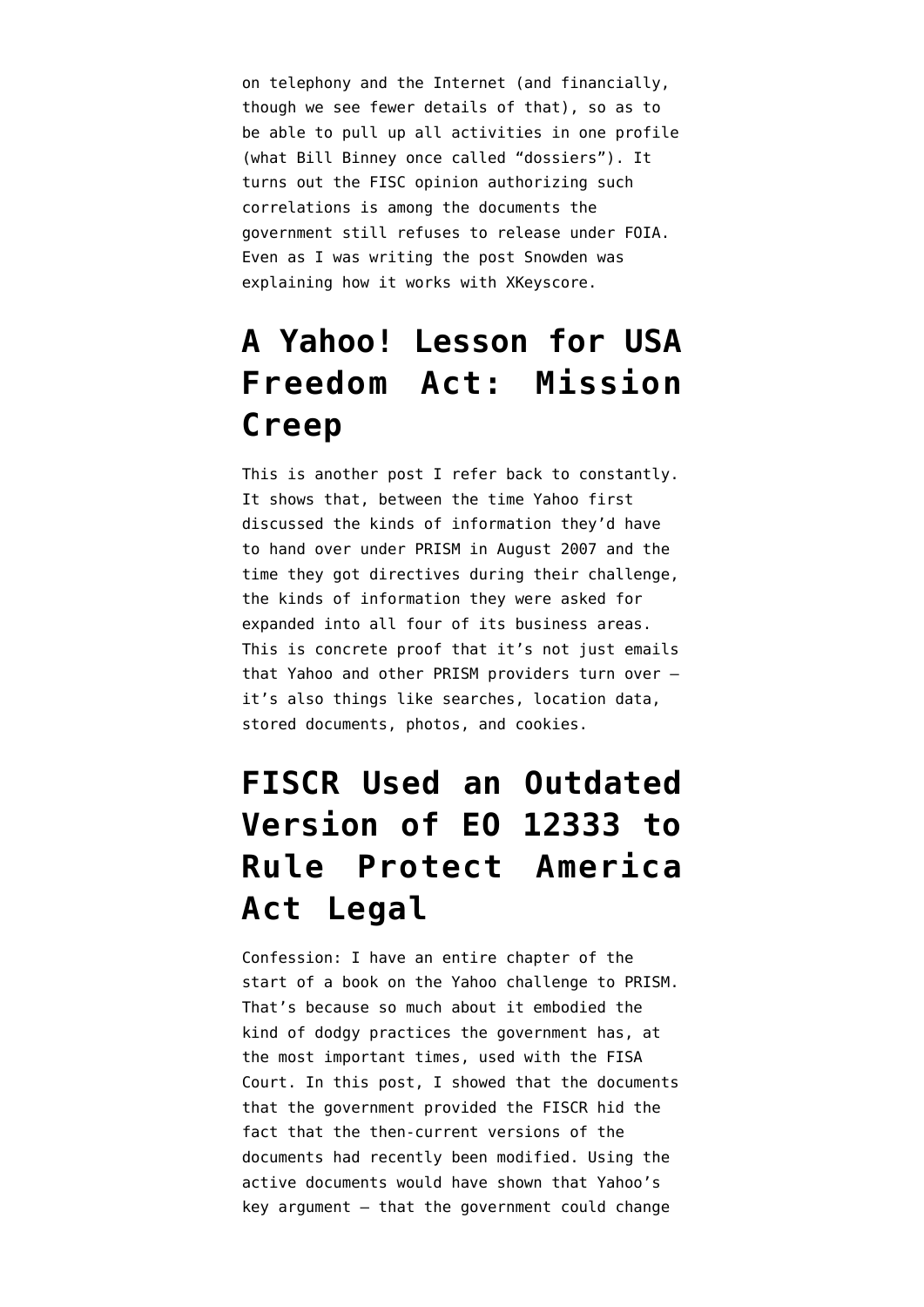on telephony and the Internet (and financially, though we see fewer details of that), so as to be able to pull up all activities in one profile (what Bill Binney once called "dossiers"). It turns out the FISC opinion authorizing such correlations is among the documents the government still refuses to release under FOIA. Even as I was writing the post Snowden was [explaining](https://www.emptywheel.net/2014/04/09/fingerprints-and-the-phone-dragnets-secret-correlations-order/) how it works with XKeyscore.

#### **[A Yahoo! Lesson for USA](https://www.emptywheel.net/2014/09/15/a-yahoo-lesson-for-usa-freedom-act-mission-creep/) [Freedom Act: Mission](https://www.emptywheel.net/2014/09/15/a-yahoo-lesson-for-usa-freedom-act-mission-creep/) [Creep](https://www.emptywheel.net/2014/09/15/a-yahoo-lesson-for-usa-freedom-act-mission-creep/)**

This is another post I refer back to constantly. It shows that, between the time Yahoo first discussed the kinds of information they'd have to hand over under PRISM in August 2007 and the time they got directives during their challenge, the kinds of information they were asked for expanded into all four of its business areas. This is concrete proof that it's not just emails that Yahoo and other PRISM providers turn over it's also things like searches, location data, stored documents, photos, and cookies.

## **[FISCR Used an Outdated](https://www.emptywheel.net/2014/10/20/fiscr-used-an-outdated-version-of-eo-12333-to-rule-protect-america-act-legal/) [Version of EO 12333 to](https://www.emptywheel.net/2014/10/20/fiscr-used-an-outdated-version-of-eo-12333-to-rule-protect-america-act-legal/) [Rule Protect America](https://www.emptywheel.net/2014/10/20/fiscr-used-an-outdated-version-of-eo-12333-to-rule-protect-america-act-legal/) [Act Legal](https://www.emptywheel.net/2014/10/20/fiscr-used-an-outdated-version-of-eo-12333-to-rule-protect-america-act-legal/)**

Confession: I have an entire chapter of the start of a book on the Yahoo challenge to PRISM. That's because so much about it embodied the kind of dodgy practices the government has, at the most important times, used with the FISA Court. In this post, I showed that the documents that the government provided the FISCR hid the fact that the then-current versions of the documents had recently been modified. Using the active documents would have shown that Yahoo's key argument — that the government could change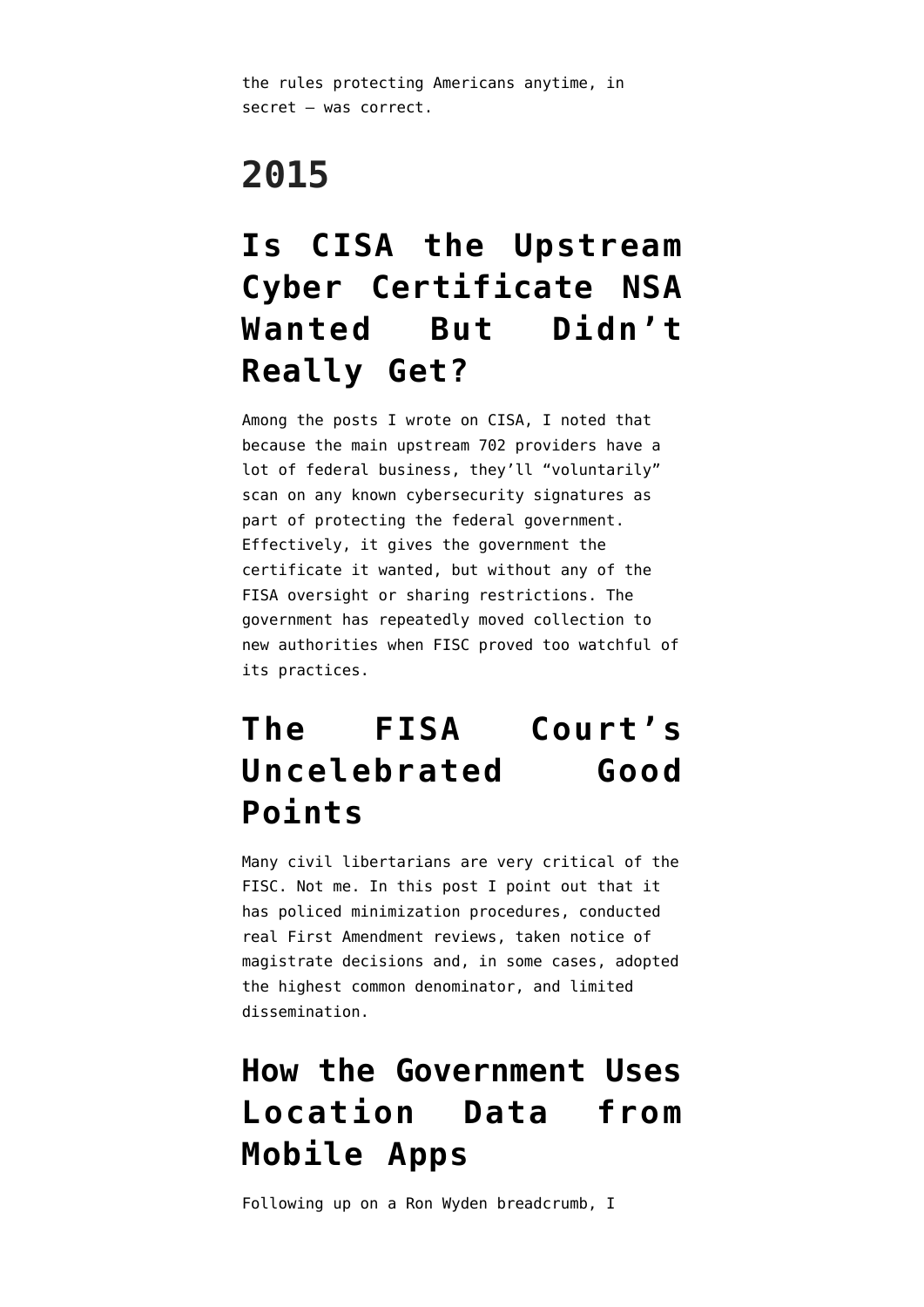the rules protecting Americans anytime, in secret — was correct.

# **2015**

#### **[Is CISA the Upstream](https://www.emptywheel.net/2015/10/23/is-cisa-the-upstream-cyber-certificate-nsa-wanted-but-didnt-really-get/) [Cyber Certificate NSA](https://www.emptywheel.net/2015/10/23/is-cisa-the-upstream-cyber-certificate-nsa-wanted-but-didnt-really-get/) [Wanted But Didn't](https://www.emptywheel.net/2015/10/23/is-cisa-the-upstream-cyber-certificate-nsa-wanted-but-didnt-really-get/) [Really Get?](https://www.emptywheel.net/2015/10/23/is-cisa-the-upstream-cyber-certificate-nsa-wanted-but-didnt-really-get/)**

Among the posts I wrote on CISA, I noted that because the main upstream 702 providers have a lot of federal business, they'll "voluntarily" scan on any known cybersecurity signatures as part of protecting the federal government. Effectively, it gives the government the certificate it wanted, but without any of the FISA oversight or sharing restrictions. The government has repeatedly moved collection to new authorities when FISC proved too watchful of its practices.

#### **[The FISA Court's](https://www.emptywheel.net/2015/11/04/the-fisa-courts-uncelebrated-good-points/) [Uncelebrated Good](https://www.emptywheel.net/2015/11/04/the-fisa-courts-uncelebrated-good-points/) [Points](https://www.emptywheel.net/2015/11/04/the-fisa-courts-uncelebrated-good-points/)**

Many civil libertarians are very critical of the FISC. Not me. In this post I point out that it has policed minimization procedures, conducted real First Amendment reviews, taken notice of magistrate decisions and, in some cases, adopted the highest common denominator, and limited dissemination.

#### **[How the Government Uses](https://www.emptywheel.net/2015/11/19/how-the-government-uses-location-data-from-mobile-apps/) [Location Data from](https://www.emptywheel.net/2015/11/19/how-the-government-uses-location-data-from-mobile-apps/) [Mobile Apps](https://www.emptywheel.net/2015/11/19/how-the-government-uses-location-data-from-mobile-apps/)**

Following up on a Ron Wyden breadcrumb, I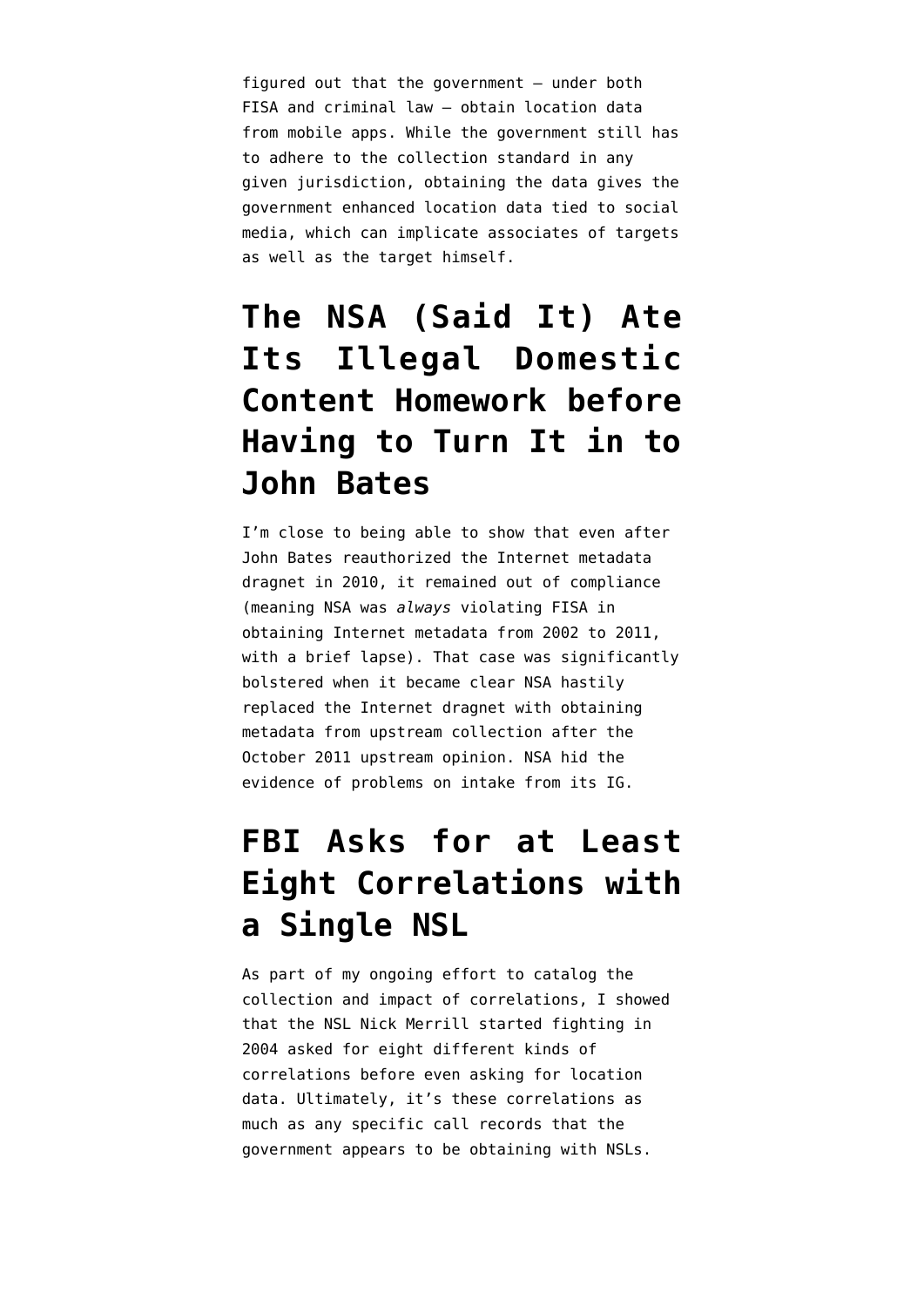figured out that the government — under both FISA and criminal law — obtain location data from mobile apps. While the government still has to adhere to the collection standard in any given jurisdiction, obtaining the data gives the government enhanced location data tied to social media, which can implicate associates of targets as well as the target himself.

#### **[The NSA \(Said It\) Ate](https://www.emptywheel.net/2015/11/20/the-nsa-said-it-ate-its-illegal-domestic-content-homework-before-john-bates-would-learn-about-it/) [Its Illegal Domestic](https://www.emptywheel.net/2015/11/20/the-nsa-said-it-ate-its-illegal-domestic-content-homework-before-john-bates-would-learn-about-it/) [Content Homework before](https://www.emptywheel.net/2015/11/20/the-nsa-said-it-ate-its-illegal-domestic-content-homework-before-john-bates-would-learn-about-it/) [Having to Turn It in to](https://www.emptywheel.net/2015/11/20/the-nsa-said-it-ate-its-illegal-domestic-content-homework-before-john-bates-would-learn-about-it/) [John Bates](https://www.emptywheel.net/2015/11/20/the-nsa-said-it-ate-its-illegal-domestic-content-homework-before-john-bates-would-learn-about-it/)**

I'm close to being able to show that even after John Bates reauthorized the Internet metadata dragnet in 2010, it remained out of compliance (meaning NSA was *always* violating FISA in obtaining Internet metadata from 2002 to 2011, with a brief lapse). That case was significantly bolstered when it became clear NSA hastily replaced the Internet dragnet with obtaining metadata from upstream collection after the October 2011 upstream opinion. NSA hid the evidence of problems on intake from its IG.

#### **[FBI Asks for at Least](https://www.emptywheel.net/2015/11/30/fbi-asks-for-at-least-eight-correlations-with-a-single-nsl/) [Eight Correlations with](https://www.emptywheel.net/2015/11/30/fbi-asks-for-at-least-eight-correlations-with-a-single-nsl/) [a Single NSL](https://www.emptywheel.net/2015/11/30/fbi-asks-for-at-least-eight-correlations-with-a-single-nsl/)**

As part of my ongoing effort to catalog the collection and impact of correlations, I showed that the NSL Nick Merrill started fighting in 2004 asked for eight different kinds of correlations before even asking for location data. Ultimately, it's these correlations as much as any specific call records that the government appears to be obtaining with NSLs.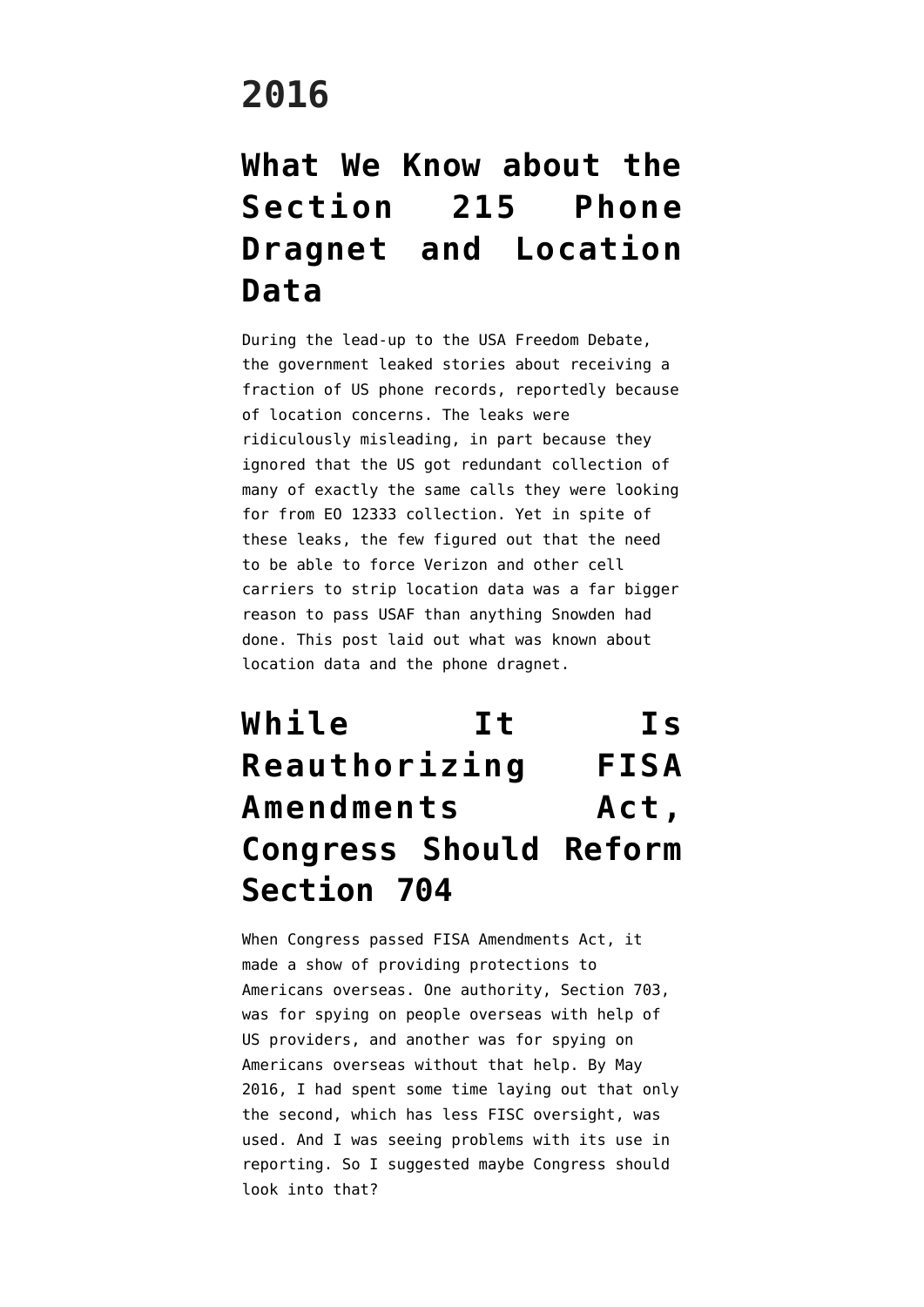#### **2016**

#### **[What We Know about the](https://www.emptywheel.net/2016/01/08/what-we-know-about-the-section-215-phone-dragnet-and-location-data/) [Section 215 Phone](https://www.emptywheel.net/2016/01/08/what-we-know-about-the-section-215-phone-dragnet-and-location-data/) [Dragnet and Location](https://www.emptywheel.net/2016/01/08/what-we-know-about-the-section-215-phone-dragnet-and-location-data/) [Data](https://www.emptywheel.net/2016/01/08/what-we-know-about-the-section-215-phone-dragnet-and-location-data/)**

During the lead-up to the USA Freedom Debate, the government leaked stories about receiving a fraction of US phone records, reportedly because of location concerns. The leaks were ridiculously misleading, in part because they ignored that the US got redundant collection of many of exactly the same calls they were looking for from EO 12333 collection. Yet in spite of these leaks, the few figured out that the need to be able to force Verizon and other cell carriers to strip location data was a far bigger reason to pass USAF than anything Snowden had done. This post laid out what was known about location data and the phone dragnet.

## **[While It Is](https://www.emptywheel.net/2016/05/13/while-it-is-reauthorizing-fisa-amendments-act-congress-should-reform-section-704/) [Reauthorizing FISA](https://www.emptywheel.net/2016/05/13/while-it-is-reauthorizing-fisa-amendments-act-congress-should-reform-section-704/) [Amendments Act,](https://www.emptywheel.net/2016/05/13/while-it-is-reauthorizing-fisa-amendments-act-congress-should-reform-section-704/) [Congress Should Reform](https://www.emptywheel.net/2016/05/13/while-it-is-reauthorizing-fisa-amendments-act-congress-should-reform-section-704/) [Section 704](https://www.emptywheel.net/2016/05/13/while-it-is-reauthorizing-fisa-amendments-act-congress-should-reform-section-704/)**

When Congress passed FISA Amendments Act, it made a show of providing protections to Americans overseas. One authority, Section 703, was for spying on people overseas with help of US providers, and another was for spying on Americans overseas without that help. By May 2016, I had spent some time laying out that only the second, which has less FISC oversight, was used. And I was seeing problems with its use in reporting. So I suggested maybe Congress should look into that?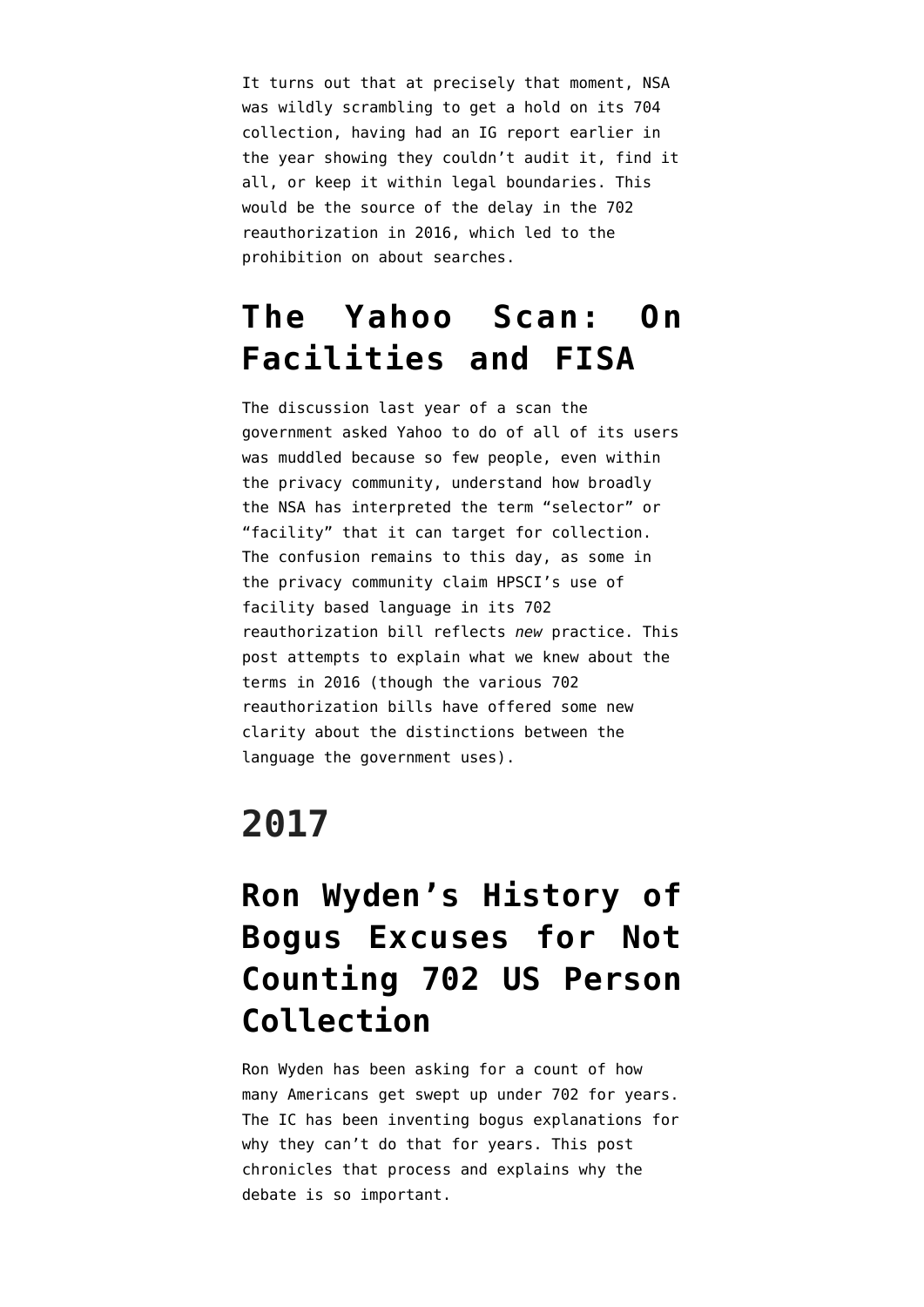It turns out that at precisely that moment, NSA was wildly scrambling to get a hold on its 704 collection, having had an IG report earlier in the year showing they couldn't audit it, find it all, or keep it within legal boundaries. This would be the source of the delay in the 702 reauthorization in 2016, which led to the prohibition on about searches.

#### **[The Yahoo Scan: On](https://www.emptywheel.net/2016/10/06/yahoo-scan-facilities-fisa/) [Facilities and FISA](https://www.emptywheel.net/2016/10/06/yahoo-scan-facilities-fisa/)**

The discussion last year of a scan the government asked Yahoo to do of all of its users was muddled because so few people, even within the privacy community, understand how broadly the NSA has interpreted the term "selector" or "facility" that it can target for collection. The confusion remains to this day, as some in the privacy community claim HPSCI's use of facility based language in its 702 reauthorization bill reflects *new* practice. This post attempts to explain what we knew about the terms in 2016 (though the various 702 reauthorization bills have offered some new clarity about the distinctions between the language the government uses).

## **2017**

#### **[Ron Wyden's History of](https://www.emptywheel.net/2017/03/17/ron-wydens-history-of-bogus-excuses-for-not-counting-702-us-person-collection/) [Bogus Excuses for Not](https://www.emptywheel.net/2017/03/17/ron-wydens-history-of-bogus-excuses-for-not-counting-702-us-person-collection/) [Counting 702 US Person](https://www.emptywheel.net/2017/03/17/ron-wydens-history-of-bogus-excuses-for-not-counting-702-us-person-collection/) [Collection](https://www.emptywheel.net/2017/03/17/ron-wydens-history-of-bogus-excuses-for-not-counting-702-us-person-collection/)**

Ron Wyden has been asking for a count of how many Americans get swept up under 702 for years. The IC has been inventing bogus explanations for why they can't do that for years. This post chronicles that process and explains why the debate is so important.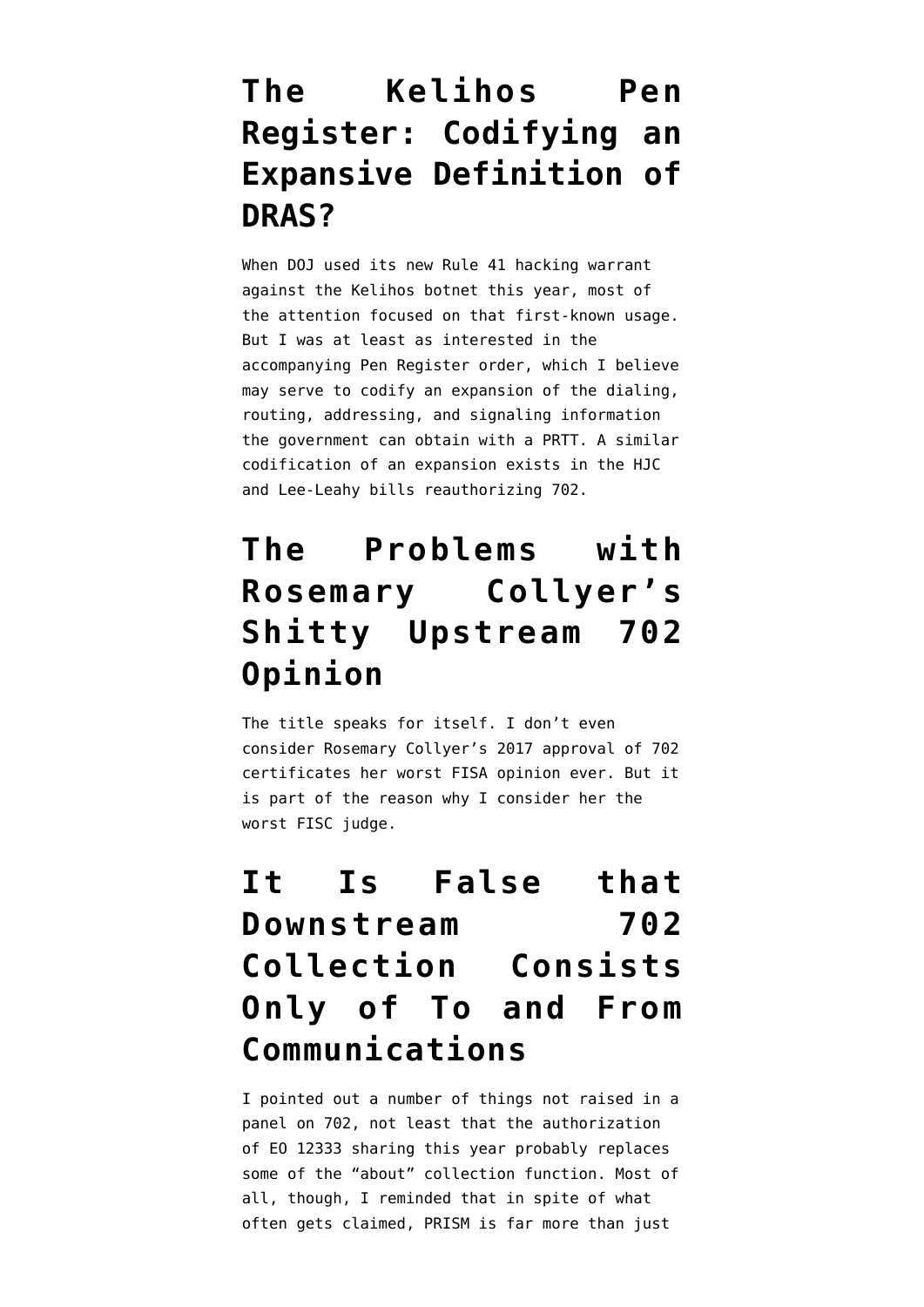#### **[The Kelihos Pen](https://www.emptywheel.net/2017/04/11/the-kelihos-pen-register-codifying-an-expansive-definition-of-dras/) [Register: Codifying an](https://www.emptywheel.net/2017/04/11/the-kelihos-pen-register-codifying-an-expansive-definition-of-dras/) [Expansive Definition of](https://www.emptywheel.net/2017/04/11/the-kelihos-pen-register-codifying-an-expansive-definition-of-dras/) [DRAS?](https://www.emptywheel.net/2017/04/11/the-kelihos-pen-register-codifying-an-expansive-definition-of-dras/)**

When DOJ used its new Rule 41 hacking warrant against the Kelihos botnet this year, most of the attention focused on that first-known usage. But I was at least as interested in the accompanying Pen Register order, which I believe may serve to codify an expansion of the dialing, routing, addressing, and signaling information the government can obtain with a PRTT. A similar codification of an expansion exists in the HJC and Lee-Leahy bills reauthorizing 702.

#### **[The Problems with](https://www.emptywheel.net/2017/05/30/the-problems-with-rosemary-collyers-shitty-upstream-702-opinion/) [Rosemary Collyer's](https://www.emptywheel.net/2017/05/30/the-problems-with-rosemary-collyers-shitty-upstream-702-opinion/) [Shitty Upstream 702](https://www.emptywheel.net/2017/05/30/the-problems-with-rosemary-collyers-shitty-upstream-702-opinion/) [Opinion](https://www.emptywheel.net/2017/05/30/the-problems-with-rosemary-collyers-shitty-upstream-702-opinion/)**

The title speaks for itself. I don't even consider Rosemary Collyer's 2017 approval of 702 certificates her worst FISA opinion ever. But it is part of the reason why I consider her the worst FISC judge.

## **[It Is False that](https://www.emptywheel.net/2017/06/03/it-is-false-that-downstream-702-collection-consists-only-of-to-and-from-communications/) [Downstream 702](https://www.emptywheel.net/2017/06/03/it-is-false-that-downstream-702-collection-consists-only-of-to-and-from-communications/) [Collection Consists](https://www.emptywheel.net/2017/06/03/it-is-false-that-downstream-702-collection-consists-only-of-to-and-from-communications/) [Only of To and From](https://www.emptywheel.net/2017/06/03/it-is-false-that-downstream-702-collection-consists-only-of-to-and-from-communications/) [Communications](https://www.emptywheel.net/2017/06/03/it-is-false-that-downstream-702-collection-consists-only-of-to-and-from-communications/)**

I pointed out a number of things not raised in a panel on 702, not least that the authorization of EO 12333 sharing this year probably replaces some of the "about" collection function. Most of all, though, I reminded that in spite of what often gets claimed, PRISM is far more than just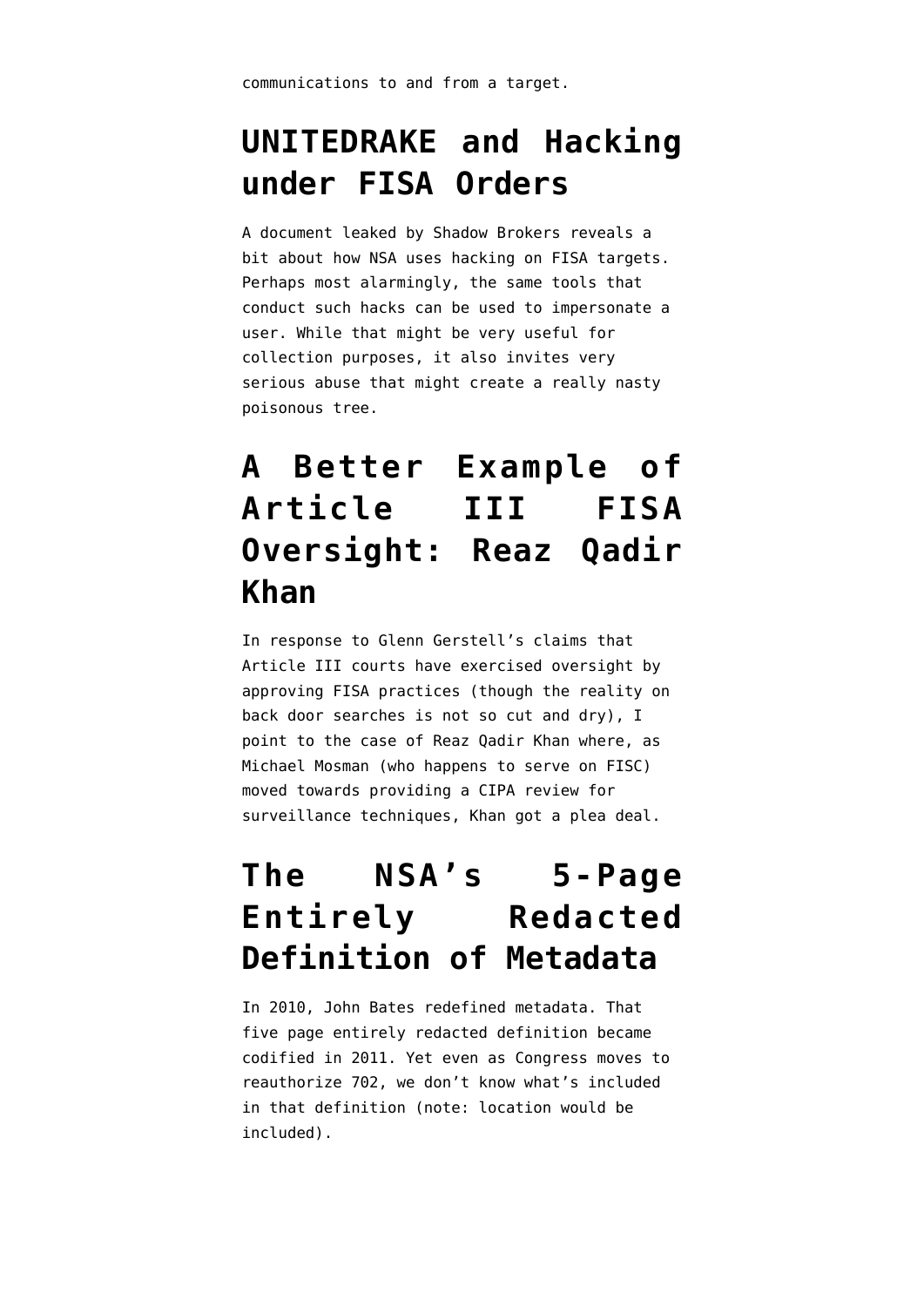#### **[UNITEDRAKE and Hacking](https://www.emptywheel.net/2017/09/09/united-rake-and-hacking-under-fisa-orders/) [under FISA Orders](https://www.emptywheel.net/2017/09/09/united-rake-and-hacking-under-fisa-orders/)**

A document leaked by Shadow Brokers reveals a bit about how NSA uses hacking on FISA targets. Perhaps most alarmingly, the same tools that conduct such hacks can be used to impersonate a user. While that might be very useful for collection purposes, it also invites very serious abuse that might create a really nasty poisonous tree.

#### **[A Better Example of](https://www.emptywheel.net/2017/09/21/a-better-example-of-article-iii-fisa-oversight-reaz-qadir-khan/) [Article III FISA](https://www.emptywheel.net/2017/09/21/a-better-example-of-article-iii-fisa-oversight-reaz-qadir-khan/) [Oversight: Reaz Qadir](https://www.emptywheel.net/2017/09/21/a-better-example-of-article-iii-fisa-oversight-reaz-qadir-khan/) [Khan](https://www.emptywheel.net/2017/09/21/a-better-example-of-article-iii-fisa-oversight-reaz-qadir-khan/)**

In response to Glenn Gerstell's claims that Article III courts have exercised oversight by approving FISA practices (though the reality on back door searches is not so cut and dry), I point to the case of Reaz Qadir Khan where, as Michael Mosman (who happens to serve on FISC) moved towards providing a CIPA review for surveillance techniques, Khan got a plea deal.

#### **[The NSA's 5-Page](https://www.emptywheel.net/2017/09/23/the-nsas-5-page-entirely-redacted-definition-of-metadata/) [Entirely Redacted](https://www.emptywheel.net/2017/09/23/the-nsas-5-page-entirely-redacted-definition-of-metadata/) [Definition of Metadata](https://www.emptywheel.net/2017/09/23/the-nsas-5-page-entirely-redacted-definition-of-metadata/)**

In 2010, John Bates redefined metadata. That five page entirely redacted definition became codified in 2011. Yet even as Congress moves to reauthorize 702, we don't know what's included in that definition (note: location would be included).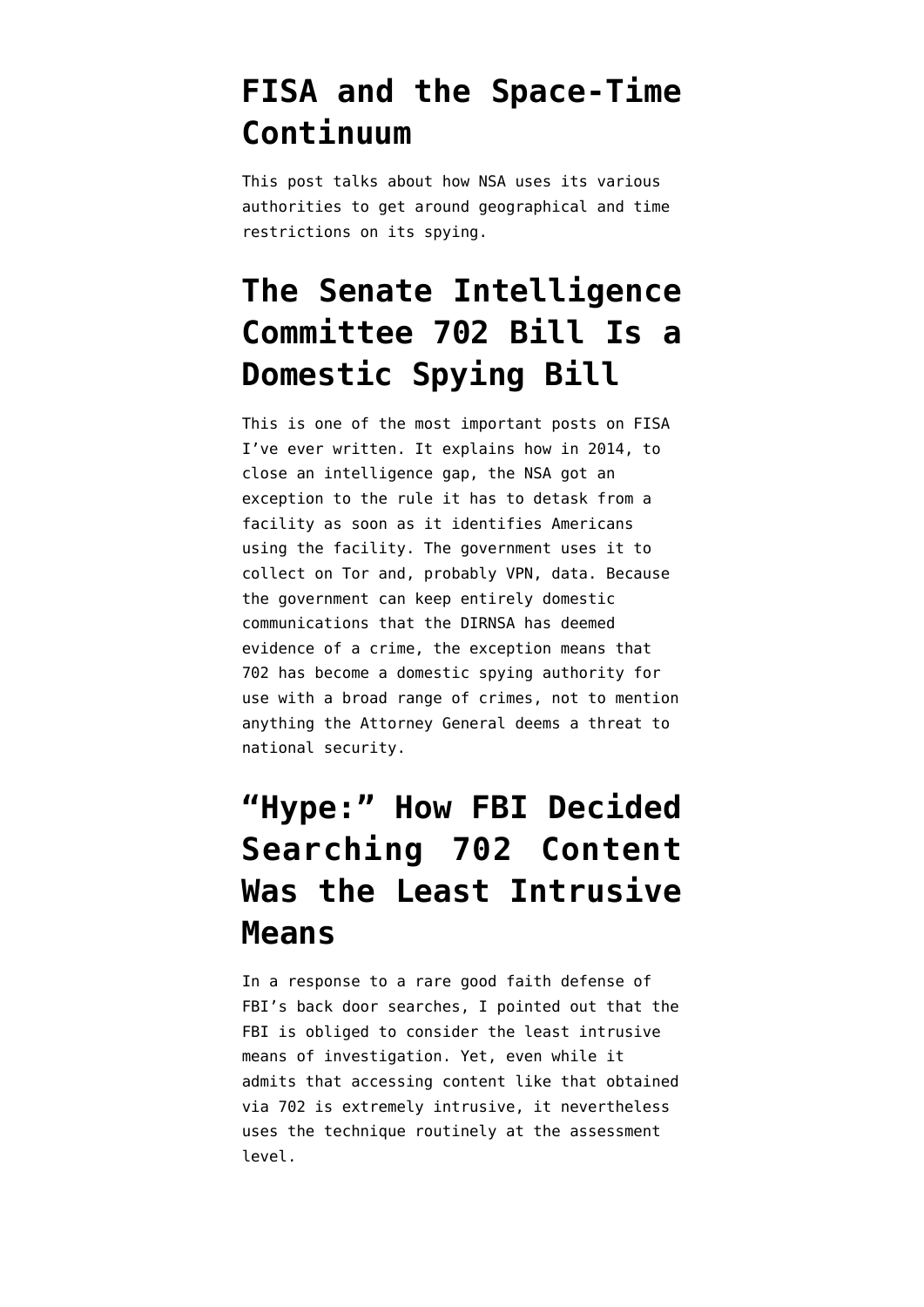#### **[FISA and the Space-Time](https://www.emptywheel.net/2017/09/27/fisa-and-the-space-time-continuum/) [Continuum](https://www.emptywheel.net/2017/09/27/fisa-and-the-space-time-continuum/)**

This post talks about how NSA uses its various authorities to get around geographical and time restrictions on its spying.

#### **[The Senate Intelligence](https://www.emptywheel.net/2017/10/23/the-senate-intelligence-committee-702-bill-is-a-domestic-spying-bill/) [Committee 702 Bill Is a](https://www.emptywheel.net/2017/10/23/the-senate-intelligence-committee-702-bill-is-a-domestic-spying-bill/) [Domestic Spying Bill](https://www.emptywheel.net/2017/10/23/the-senate-intelligence-committee-702-bill-is-a-domestic-spying-bill/)**

This is one of the most important posts on FISA I've ever written. It explains how in 2014, to close an intelligence gap, the NSA got an exception to the rule it has to detask from a facility as soon as it identifies Americans using the facility. The government uses it to collect on Tor and, probably VPN, data. Because the government can keep entirely domestic communications that the DIRNSA has deemed evidence of a crime, the exception means that 702 has become a domestic spying authority for use with a broad range of crimes, not to mention anything the Attorney General deems a threat to national security.

#### **["Hype:" How FBI Decided](https://www.emptywheel.net/2017/11/30/hype-how-fbi-decided-searching-702-content-was-the-least-intrusive-means/) [Searching 702 Content](https://www.emptywheel.net/2017/11/30/hype-how-fbi-decided-searching-702-content-was-the-least-intrusive-means/) [Was the Least Intrusive](https://www.emptywheel.net/2017/11/30/hype-how-fbi-decided-searching-702-content-was-the-least-intrusive-means/) [Means](https://www.emptywheel.net/2017/11/30/hype-how-fbi-decided-searching-702-content-was-the-least-intrusive-means/)**

In a response to a rare good faith defense of FBI's back door searches, I pointed out that the FBI is obliged to consider the least intrusive means of investigation. Yet, even while it admits that accessing content like that obtained via 702 is extremely intrusive, it nevertheless uses the technique routinely at the assessment level.